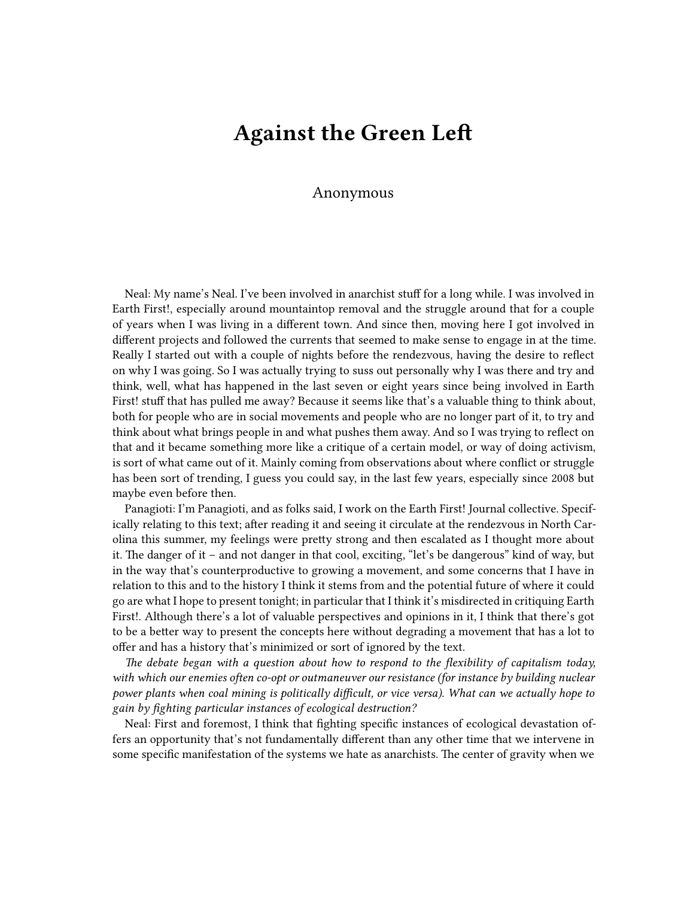## **Against the Green Left**

## Anonymous

Neal: My name's Neal. I've been involved in anarchist stuff for a long while. I was involved in Earth First!, especially around mountaintop removal and the struggle around that for a couple of years when I was living in a different town. And since then, moving here I got involved in different projects and followed the currents that seemed to make sense to engage in at the time. Really I started out with a couple of nights before the rendezvous, having the desire to reflect on why I was going. So I was actually trying to suss out personally why I was there and try and think, well, what has happened in the last seven or eight years since being involved in Earth First! stuff that has pulled me away? Because it seems like that's a valuable thing to think about, both for people who are in social movements and people who are no longer part of it, to try and think about what brings people in and what pushes them away. And so I was trying to reflect on that and it became something more like a critique of a certain model, or way of doing activism, is sort of what came out of it. Mainly coming from observations about where conflict or struggle has been sort of trending, I guess you could say, in the last few years, especially since 2008 but maybe even before then.

Panagioti: I'm Panagioti, and as folks said, I work on the Earth First! Journal collective. Specifically relating to this text; after reading it and seeing it circulate at the rendezvous in North Carolina this summer, my feelings were pretty strong and then escalated as I thought more about it. The danger of it – and not danger in that cool, exciting, "let's be dangerous" kind of way, but in the way that's counterproductive to growing a movement, and some concerns that I have in relation to this and to the history I think it stems from and the potential future of where it could go are what I hope to present tonight; in particular that I think it's misdirected in critiquing Earth First!. Although there's a lot of valuable perspectives and opinions in it, I think that there's got to be a better way to present the concepts here without degrading a movement that has a lot to offer and has a history that's minimized or sort of ignored by the text.

*The debate began with a question about how to respond to the flexibility of capitalism today, with which our enemies often co-opt or outmaneuver our resistance (for instance by building nuclear power plants when coal mining is politically difficult, or vice versa). What can we actually hope to gain by fighting particular instances of ecological destruction?*

Neal: First and foremost, I think that fighting specific instances of ecological devastation offers an opportunity that's not fundamentally different than any other time that we intervene in some specific manifestation of the systems we hate as anarchists. The center of gravity when we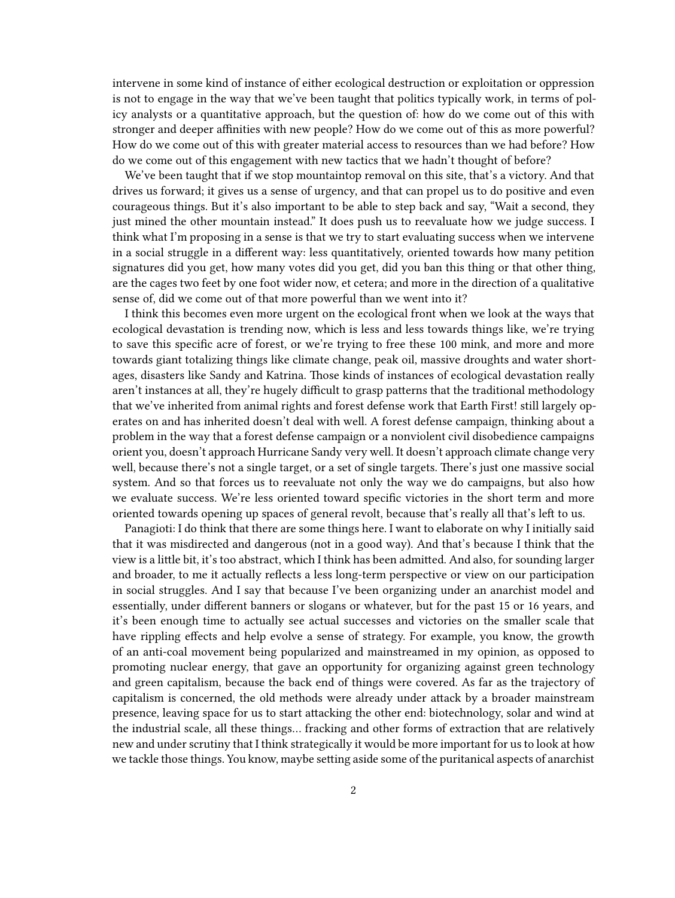intervene in some kind of instance of either ecological destruction or exploitation or oppression is not to engage in the way that we've been taught that politics typically work, in terms of policy analysts or a quantitative approach, but the question of: how do we come out of this with stronger and deeper affinities with new people? How do we come out of this as more powerful? How do we come out of this with greater material access to resources than we had before? How do we come out of this engagement with new tactics that we hadn't thought of before?

We've been taught that if we stop mountaintop removal on this site, that's a victory. And that drives us forward; it gives us a sense of urgency, and that can propel us to do positive and even courageous things. But it's also important to be able to step back and say, "Wait a second, they just mined the other mountain instead." It does push us to reevaluate how we judge success. I think what I'm proposing in a sense is that we try to start evaluating success when we intervene in a social struggle in a different way: less quantitatively, oriented towards how many petition signatures did you get, how many votes did you get, did you ban this thing or that other thing, are the cages two feet by one foot wider now, et cetera; and more in the direction of a qualitative sense of, did we come out of that more powerful than we went into it?

I think this becomes even more urgent on the ecological front when we look at the ways that ecological devastation is trending now, which is less and less towards things like, we're trying to save this specific acre of forest, or we're trying to free these 100 mink, and more and more towards giant totalizing things like climate change, peak oil, massive droughts and water shortages, disasters like Sandy and Katrina. Those kinds of instances of ecological devastation really aren't instances at all, they're hugely difficult to grasp patterns that the traditional methodology that we've inherited from animal rights and forest defense work that Earth First! still largely operates on and has inherited doesn't deal with well. A forest defense campaign, thinking about a problem in the way that a forest defense campaign or a nonviolent civil disobedience campaigns orient you, doesn't approach Hurricane Sandy very well. It doesn't approach climate change very well, because there's not a single target, or a set of single targets. There's just one massive social system. And so that forces us to reevaluate not only the way we do campaigns, but also how we evaluate success. We're less oriented toward specific victories in the short term and more oriented towards opening up spaces of general revolt, because that's really all that's left to us.

Panagioti: I do think that there are some things here. I want to elaborate on why I initially said that it was misdirected and dangerous (not in a good way). And that's because I think that the view is a little bit, it's too abstract, which I think has been admitted. And also, for sounding larger and broader, to me it actually reflects a less long-term perspective or view on our participation in social struggles. And I say that because I've been organizing under an anarchist model and essentially, under different banners or slogans or whatever, but for the past 15 or 16 years, and it's been enough time to actually see actual successes and victories on the smaller scale that have rippling effects and help evolve a sense of strategy. For example, you know, the growth of an anti-coal movement being popularized and mainstreamed in my opinion, as opposed to promoting nuclear energy, that gave an opportunity for organizing against green technology and green capitalism, because the back end of things were covered. As far as the trajectory of capitalism is concerned, the old methods were already under attack by a broader mainstream presence, leaving space for us to start attacking the other end: biotechnology, solar and wind at the industrial scale, all these things… fracking and other forms of extraction that are relatively new and under scrutiny that I think strategically it would be more important for us to look at how we tackle those things. You know, maybe setting aside some of the puritanical aspects of anarchist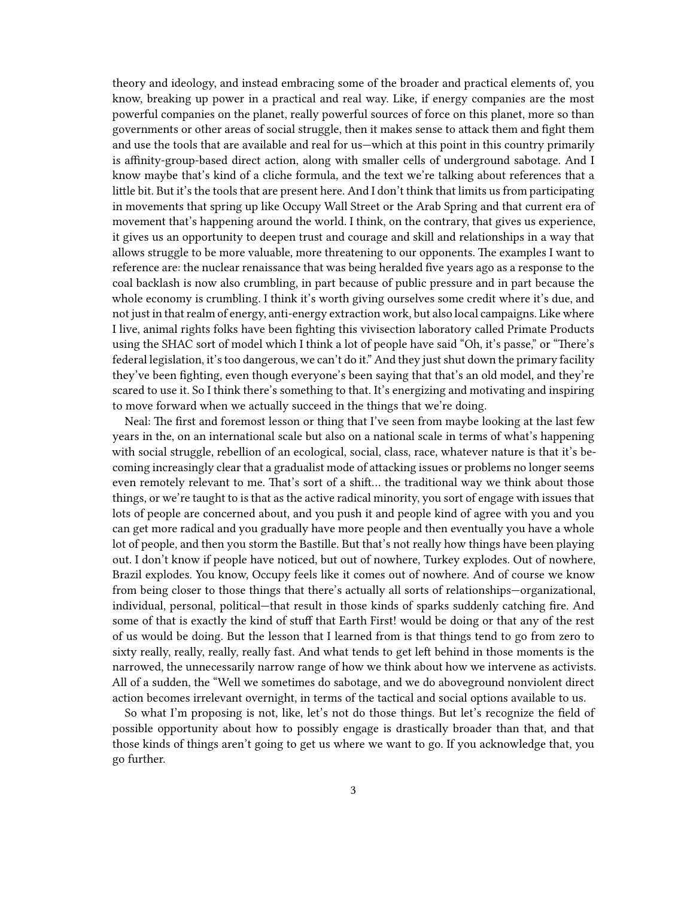theory and ideology, and instead embracing some of the broader and practical elements of, you know, breaking up power in a practical and real way. Like, if energy companies are the most powerful companies on the planet, really powerful sources of force on this planet, more so than governments or other areas of social struggle, then it makes sense to attack them and fight them and use the tools that are available and real for us—which at this point in this country primarily is affinity-group-based direct action, along with smaller cells of underground sabotage. And I know maybe that's kind of a cliche formula, and the text we're talking about references that a little bit. But it's the tools that are present here. And I don't think that limits us from participating in movements that spring up like Occupy Wall Street or the Arab Spring and that current era of movement that's happening around the world. I think, on the contrary, that gives us experience, it gives us an opportunity to deepen trust and courage and skill and relationships in a way that allows struggle to be more valuable, more threatening to our opponents. The examples I want to reference are: the nuclear renaissance that was being heralded five years ago as a response to the coal backlash is now also crumbling, in part because of public pressure and in part because the whole economy is crumbling. I think it's worth giving ourselves some credit where it's due, and not just in that realm of energy, anti-energy extraction work, but also local campaigns. Like where I live, animal rights folks have been fighting this vivisection laboratory called Primate Products using the SHAC sort of model which I think a lot of people have said "Oh, it's passe," or "There's federal legislation, it's too dangerous, we can't do it." And they just shut down the primary facility they've been fighting, even though everyone's been saying that that's an old model, and they're scared to use it. So I think there's something to that. It's energizing and motivating and inspiring to move forward when we actually succeed in the things that we're doing.

Neal: The first and foremost lesson or thing that I've seen from maybe looking at the last few years in the, on an international scale but also on a national scale in terms of what's happening with social struggle, rebellion of an ecological, social, class, race, whatever nature is that it's becoming increasingly clear that a gradualist mode of attacking issues or problems no longer seems even remotely relevant to me. That's sort of a shift… the traditional way we think about those things, or we're taught to is that as the active radical minority, you sort of engage with issues that lots of people are concerned about, and you push it and people kind of agree with you and you can get more radical and you gradually have more people and then eventually you have a whole lot of people, and then you storm the Bastille. But that's not really how things have been playing out. I don't know if people have noticed, but out of nowhere, Turkey explodes. Out of nowhere, Brazil explodes. You know, Occupy feels like it comes out of nowhere. And of course we know from being closer to those things that there's actually all sorts of relationships—organizational, individual, personal, political—that result in those kinds of sparks suddenly catching fire. And some of that is exactly the kind of stuff that Earth First! would be doing or that any of the rest of us would be doing. But the lesson that I learned from is that things tend to go from zero to sixty really, really, really, really fast. And what tends to get left behind in those moments is the narrowed, the unnecessarily narrow range of how we think about how we intervene as activists. All of a sudden, the "Well we sometimes do sabotage, and we do aboveground nonviolent direct action becomes irrelevant overnight, in terms of the tactical and social options available to us.

So what I'm proposing is not, like, let's not do those things. But let's recognize the field of possible opportunity about how to possibly engage is drastically broader than that, and that those kinds of things aren't going to get us where we want to go. If you acknowledge that, you go further.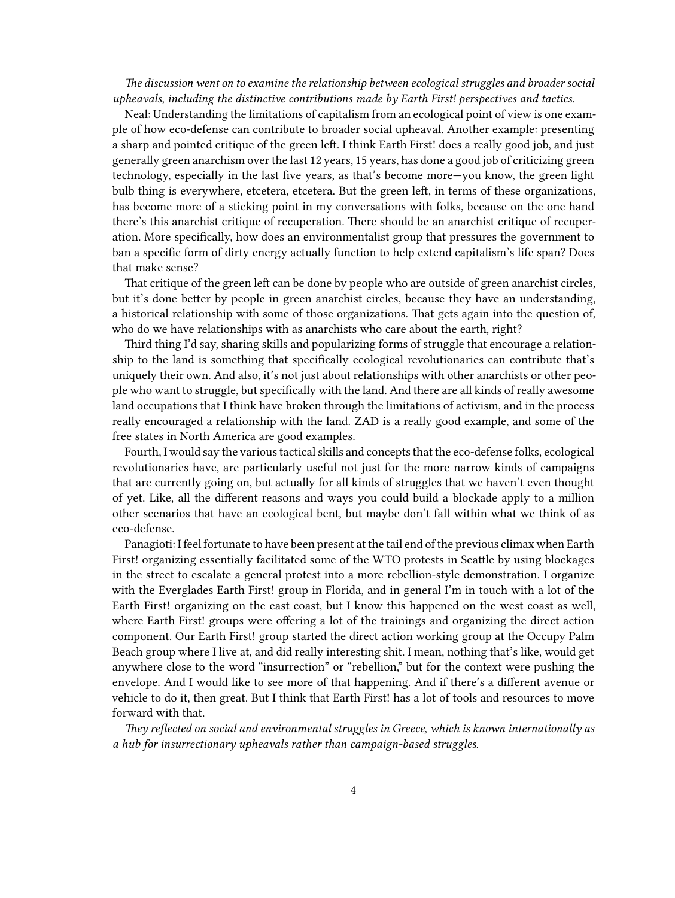*The discussion went on to examine the relationship between ecological struggles and broader social upheavals, including the distinctive contributions made by Earth First! perspectives and tactics.*

Neal: Understanding the limitations of capitalism from an ecological point of view is one example of how eco-defense can contribute to broader social upheaval. Another example: presenting a sharp and pointed critique of the green left. I think Earth First! does a really good job, and just generally green anarchism over the last 12 years, 15 years, has done a good job of criticizing green technology, especially in the last five years, as that's become more—you know, the green light bulb thing is everywhere, etcetera, etcetera. But the green left, in terms of these organizations, has become more of a sticking point in my conversations with folks, because on the one hand there's this anarchist critique of recuperation. There should be an anarchist critique of recuperation. More specifically, how does an environmentalist group that pressures the government to ban a specific form of dirty energy actually function to help extend capitalism's life span? Does that make sense?

That critique of the green left can be done by people who are outside of green anarchist circles, but it's done better by people in green anarchist circles, because they have an understanding, a historical relationship with some of those organizations. That gets again into the question of, who do we have relationships with as anarchists who care about the earth, right?

Third thing I'd say, sharing skills and popularizing forms of struggle that encourage a relationship to the land is something that specifically ecological revolutionaries can contribute that's uniquely their own. And also, it's not just about relationships with other anarchists or other people who want to struggle, but specifically with the land. And there are all kinds of really awesome land occupations that I think have broken through the limitations of activism, and in the process really encouraged a relationship with the land. ZAD is a really good example, and some of the free states in North America are good examples.

Fourth, I would say the various tactical skills and concepts that the eco-defense folks, ecological revolutionaries have, are particularly useful not just for the more narrow kinds of campaigns that are currently going on, but actually for all kinds of struggles that we haven't even thought of yet. Like, all the different reasons and ways you could build a blockade apply to a million other scenarios that have an ecological bent, but maybe don't fall within what we think of as eco-defense.

Panagioti: I feel fortunate to have been present at the tail end of the previous climax when Earth First! organizing essentially facilitated some of the WTO protests in Seattle by using blockages in the street to escalate a general protest into a more rebellion-style demonstration. I organize with the Everglades Earth First! group in Florida, and in general I'm in touch with a lot of the Earth First! organizing on the east coast, but I know this happened on the west coast as well, where Earth First! groups were offering a lot of the trainings and organizing the direct action component. Our Earth First! group started the direct action working group at the Occupy Palm Beach group where I live at, and did really interesting shit. I mean, nothing that's like, would get anywhere close to the word "insurrection" or "rebellion," but for the context were pushing the envelope. And I would like to see more of that happening. And if there's a different avenue or vehicle to do it, then great. But I think that Earth First! has a lot of tools and resources to move forward with that.

*They reflected on social and environmental struggles in Greece, which is known internationally as a hub for insurrectionary upheavals rather than campaign-based struggles.*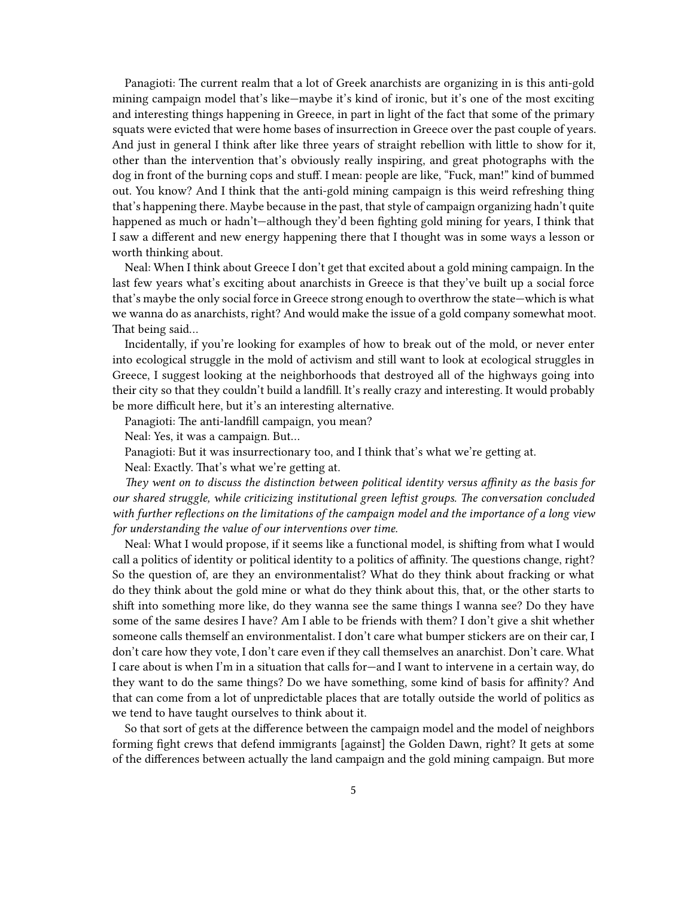Panagioti: The current realm that a lot of Greek anarchists are organizing in is this anti-gold mining campaign model that's like—maybe it's kind of ironic, but it's one of the most exciting and interesting things happening in Greece, in part in light of the fact that some of the primary squats were evicted that were home bases of insurrection in Greece over the past couple of years. And just in general I think after like three years of straight rebellion with little to show for it, other than the intervention that's obviously really inspiring, and great photographs with the dog in front of the burning cops and stuff. I mean: people are like, "Fuck, man!" kind of bummed out. You know? And I think that the anti-gold mining campaign is this weird refreshing thing that's happening there. Maybe because in the past, that style of campaign organizing hadn't quite happened as much or hadn't—although they'd been fighting gold mining for years, I think that I saw a different and new energy happening there that I thought was in some ways a lesson or worth thinking about.

Neal: When I think about Greece I don't get that excited about a gold mining campaign. In the last few years what's exciting about anarchists in Greece is that they've built up a social force that's maybe the only social force in Greece strong enough to overthrow the state—which is what we wanna do as anarchists, right? And would make the issue of a gold company somewhat moot. That being said…

Incidentally, if you're looking for examples of how to break out of the mold, or never enter into ecological struggle in the mold of activism and still want to look at ecological struggles in Greece, I suggest looking at the neighborhoods that destroyed all of the highways going into their city so that they couldn't build a landfill. It's really crazy and interesting. It would probably be more difficult here, but it's an interesting alternative.

Panagioti: The anti-landfill campaign, you mean?

Neal: Yes, it was a campaign. But…

Panagioti: But it was insurrectionary too, and I think that's what we're getting at.

Neal: Exactly. That's what we're getting at.

*They went on to discuss the distinction between political identity versus affinity as the basis for our shared struggle, while criticizing institutional green leftist groups. The conversation concluded with further reflections on the limitations of the campaign model and the importance of a long view for understanding the value of our interventions over time.*

Neal: What I would propose, if it seems like a functional model, is shifting from what I would call a politics of identity or political identity to a politics of affinity. The questions change, right? So the question of, are they an environmentalist? What do they think about fracking or what do they think about the gold mine or what do they think about this, that, or the other starts to shift into something more like, do they wanna see the same things I wanna see? Do they have some of the same desires I have? Am I able to be friends with them? I don't give a shit whether someone calls themself an environmentalist. I don't care what bumper stickers are on their car, I don't care how they vote, I don't care even if they call themselves an anarchist. Don't care. What I care about is when I'm in a situation that calls for—and I want to intervene in a certain way, do they want to do the same things? Do we have something, some kind of basis for affinity? And that can come from a lot of unpredictable places that are totally outside the world of politics as we tend to have taught ourselves to think about it.

So that sort of gets at the difference between the campaign model and the model of neighbors forming fight crews that defend immigrants [against] the Golden Dawn, right? It gets at some of the differences between actually the land campaign and the gold mining campaign. But more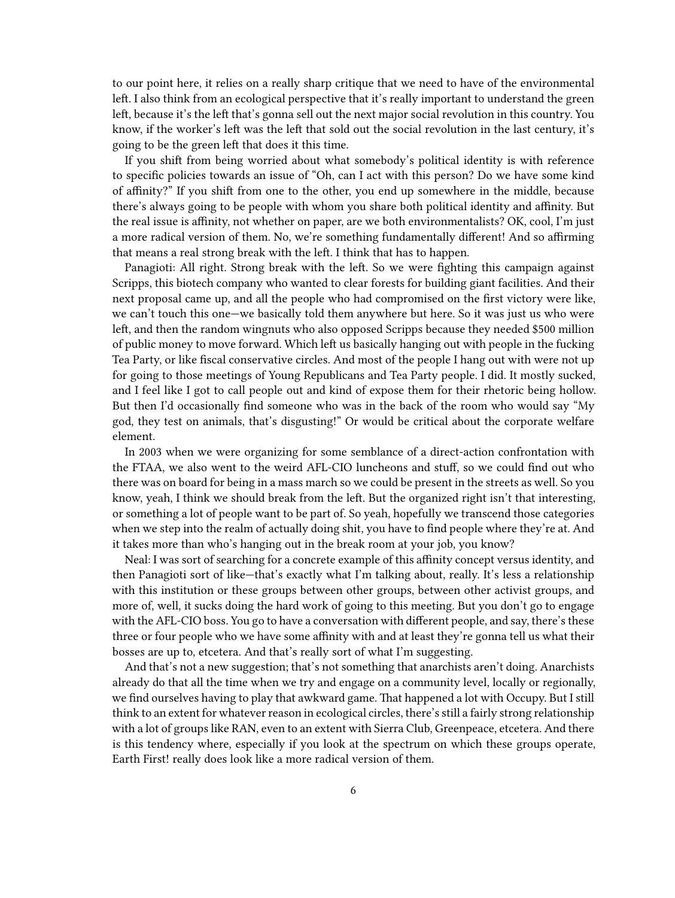to our point here, it relies on a really sharp critique that we need to have of the environmental left. I also think from an ecological perspective that it's really important to understand the green left, because it's the left that's gonna sell out the next major social revolution in this country. You know, if the worker's left was the left that sold out the social revolution in the last century, it's going to be the green left that does it this time.

If you shift from being worried about what somebody's political identity is with reference to specific policies towards an issue of "Oh, can I act with this person? Do we have some kind of affinity?" If you shift from one to the other, you end up somewhere in the middle, because there's always going to be people with whom you share both political identity and affinity. But the real issue is affinity, not whether on paper, are we both environmentalists? OK, cool, I'm just a more radical version of them. No, we're something fundamentally different! And so affirming that means a real strong break with the left. I think that has to happen.

Panagioti: All right. Strong break with the left. So we were fighting this campaign against Scripps, this biotech company who wanted to clear forests for building giant facilities. And their next proposal came up, and all the people who had compromised on the first victory were like, we can't touch this one—we basically told them anywhere but here. So it was just us who were left, and then the random wingnuts who also opposed Scripps because they needed \$500 million of public money to move forward. Which left us basically hanging out with people in the fucking Tea Party, or like fiscal conservative circles. And most of the people I hang out with were not up for going to those meetings of Young Republicans and Tea Party people. I did. It mostly sucked, and I feel like I got to call people out and kind of expose them for their rhetoric being hollow. But then I'd occasionally find someone who was in the back of the room who would say "My god, they test on animals, that's disgusting!" Or would be critical about the corporate welfare element.

In 2003 when we were organizing for some semblance of a direct-action confrontation with the FTAA, we also went to the weird AFL-CIO luncheons and stuff, so we could find out who there was on board for being in a mass march so we could be present in the streets as well. So you know, yeah, I think we should break from the left. But the organized right isn't that interesting, or something a lot of people want to be part of. So yeah, hopefully we transcend those categories when we step into the realm of actually doing shit, you have to find people where they're at. And it takes more than who's hanging out in the break room at your job, you know?

Neal: I was sort of searching for a concrete example of this affinity concept versus identity, and then Panagioti sort of like—that's exactly what I'm talking about, really. It's less a relationship with this institution or these groups between other groups, between other activist groups, and more of, well, it sucks doing the hard work of going to this meeting. But you don't go to engage with the AFL-CIO boss. You go to have a conversation with different people, and say, there's these three or four people who we have some affinity with and at least they're gonna tell us what their bosses are up to, etcetera. And that's really sort of what I'm suggesting.

And that's not a new suggestion; that's not something that anarchists aren't doing. Anarchists already do that all the time when we try and engage on a community level, locally or regionally, we find ourselves having to play that awkward game. That happened a lot with Occupy. But I still think to an extent for whatever reason in ecological circles, there's still a fairly strong relationship with a lot of groups like RAN, even to an extent with Sierra Club, Greenpeace, etcetera. And there is this tendency where, especially if you look at the spectrum on which these groups operate, Earth First! really does look like a more radical version of them.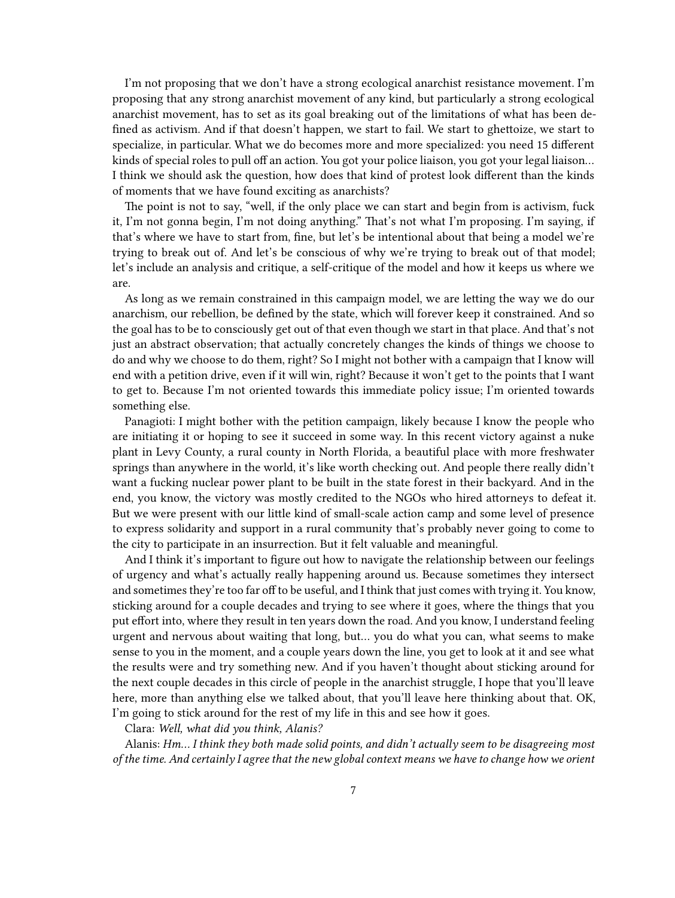I'm not proposing that we don't have a strong ecological anarchist resistance movement. I'm proposing that any strong anarchist movement of any kind, but particularly a strong ecological anarchist movement, has to set as its goal breaking out of the limitations of what has been defined as activism. And if that doesn't happen, we start to fail. We start to ghettoize, we start to specialize, in particular. What we do becomes more and more specialized: you need 15 different kinds of special roles to pull off an action. You got your police liaison, you got your legal liaison… I think we should ask the question, how does that kind of protest look different than the kinds of moments that we have found exciting as anarchists?

The point is not to say, "well, if the only place we can start and begin from is activism, fuck it, I'm not gonna begin, I'm not doing anything." That's not what I'm proposing. I'm saying, if that's where we have to start from, fine, but let's be intentional about that being a model we're trying to break out of. And let's be conscious of why we're trying to break out of that model; let's include an analysis and critique, a self-critique of the model and how it keeps us where we are.

As long as we remain constrained in this campaign model, we are letting the way we do our anarchism, our rebellion, be defined by the state, which will forever keep it constrained. And so the goal has to be to consciously get out of that even though we start in that place. And that's not just an abstract observation; that actually concretely changes the kinds of things we choose to do and why we choose to do them, right? So I might not bother with a campaign that I know will end with a petition drive, even if it will win, right? Because it won't get to the points that I want to get to. Because I'm not oriented towards this immediate policy issue; I'm oriented towards something else.

Panagioti: I might bother with the petition campaign, likely because I know the people who are initiating it or hoping to see it succeed in some way. In this recent victory against a nuke plant in Levy County, a rural county in North Florida, a beautiful place with more freshwater springs than anywhere in the world, it's like worth checking out. And people there really didn't want a fucking nuclear power plant to be built in the state forest in their backyard. And in the end, you know, the victory was mostly credited to the NGOs who hired attorneys to defeat it. But we were present with our little kind of small-scale action camp and some level of presence to express solidarity and support in a rural community that's probably never going to come to the city to participate in an insurrection. But it felt valuable and meaningful.

And I think it's important to figure out how to navigate the relationship between our feelings of urgency and what's actually really happening around us. Because sometimes they intersect and sometimes they're too far off to be useful, and I think that just comes with trying it. You know, sticking around for a couple decades and trying to see where it goes, where the things that you put effort into, where they result in ten years down the road. And you know, I understand feeling urgent and nervous about waiting that long, but… you do what you can, what seems to make sense to you in the moment, and a couple years down the line, you get to look at it and see what the results were and try something new. And if you haven't thought about sticking around for the next couple decades in this circle of people in the anarchist struggle, I hope that you'll leave here, more than anything else we talked about, that you'll leave here thinking about that. OK, I'm going to stick around for the rest of my life in this and see how it goes.

Clara: *Well, what did you think, Alanis?*

Alanis: *Hm… I think they both made solid points, and didn't actually seem to be disagreeing most of the time. And certainly I agree that the new global context means we have to change how we orient*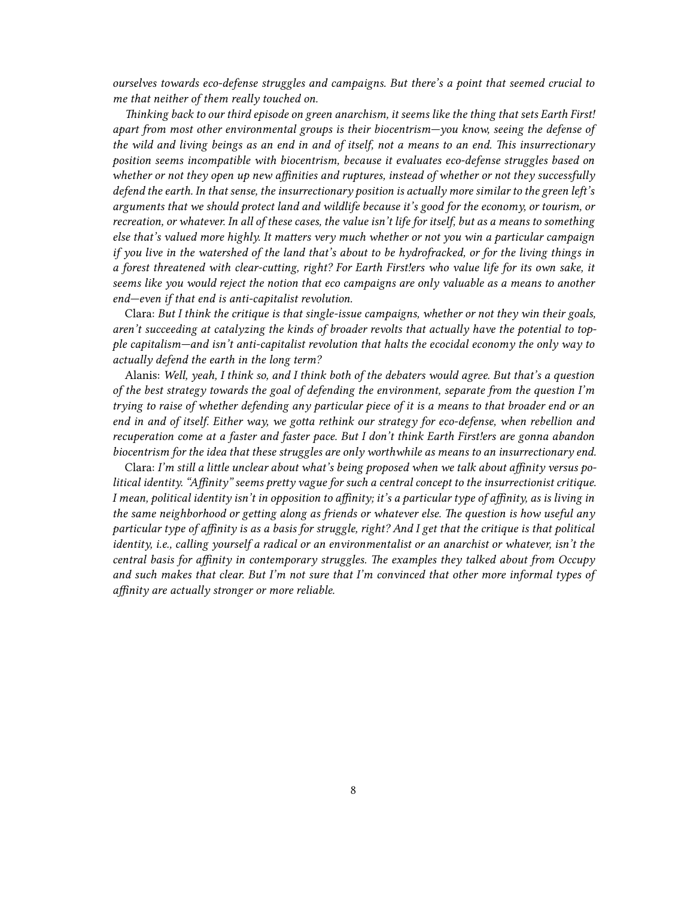*ourselves towards eco-defense struggles and campaigns. But there's a point that seemed crucial to me that neither of them really touched on.*

*Thinking back to our third episode on green anarchism, it seems like the thing that sets Earth First! apart from most other environmental groups is their biocentrism—you know, seeing the defense of the wild and living beings as an end in and of itself, not a means to an end. This insurrectionary position seems incompatible with biocentrism, because it evaluates eco-defense struggles based on whether or not they open up new affinities and ruptures, instead of whether or not they successfully defend the earth. In that sense, the insurrectionary position is actually more similar to the green left's arguments that we should protect land and wildlife because it's good for the economy, or tourism, or recreation, or whatever. In all of these cases, the value isn't life for itself, but as a means to something else that's valued more highly. It matters very much whether or not you win a particular campaign if you live in the watershed of the land that's about to be hydrofracked, or for the living things in a forest threatened with clear-cutting, right? For Earth First!ers who value life for its own sake, it seems like you would reject the notion that eco campaigns are only valuable as a means to another end—even if that end is anti-capitalist revolution.*

Clara: *But I think the critique is that single-issue campaigns, whether or not they win their goals, aren't succeeding at catalyzing the kinds of broader revolts that actually have the potential to topple capitalism—and isn't anti-capitalist revolution that halts the ecocidal economy the only way to actually defend the earth in the long term?*

Alanis: *Well, yeah, I think so, and I think both of the debaters would agree. But that's a question of the best strategy towards the goal of defending the environment, separate from the question I'm trying to raise of whether defending any particular piece of it is a means to that broader end or an end in and of itself. Either way, we gotta rethink our strategy for eco-defense, when rebellion and recuperation come at a faster and faster pace. But I don't think Earth First!ers are gonna abandon biocentrism for the idea that these struggles are only worthwhile as means to an insurrectionary end.*

Clara: *I'm still a little unclear about what's being proposed when we talk about affinity versus political identity. "Affinity" seems pretty vague for such a central concept to the insurrectionist critique. I mean, political identity isn't in opposition to affinity; it's a particular type of affinity, as is living in the same neighborhood or getting along as friends or whatever else. The question is how useful any particular type of affinity is as a basis for struggle, right? And I get that the critique is that political identity, i.e., calling yourself a radical or an environmentalist or an anarchist or whatever, isn't the central basis for affinity in contemporary struggles. The examples they talked about from Occupy and such makes that clear. But I'm not sure that I'm convinced that other more informal types of affinity are actually stronger or more reliable.*